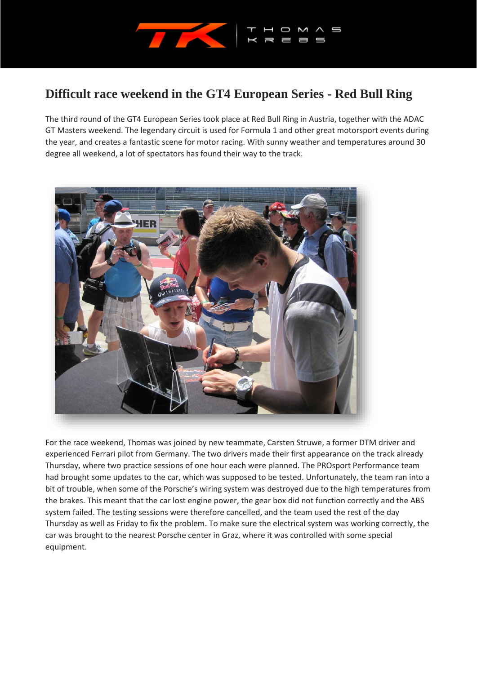

## **Difficult race weekend in the GT4 European Series - Red Bull Ring**

The third round of the GT4 European Series took place at Red Bull Ring in Austria, together with the ADAC GT Masters weekend. The legendary circuit is used for Formula 1 and other great motorsport events during the year, and creates a fantastic scene for motor racing. With sunny weather and temperatures around 30 degree all weekend, a lot of spectators has found their way to the track.



For the race weekend, Thomas was joined by new teammate, Carsten Struwe, a former DTM driver and experienced Ferrari pilot from Germany. The two drivers made their first appearance on the track already Thursday, where two practice sessions of one hour each were planned. The PROsport Performance team had brought some updates to the car, which was supposed to be tested. Unfortunately, the team ran into a bit of trouble, when some of the Porsche's wiring system was destroyed due to the high temperatures from the brakes. This meant that the car lost engine power, the gear box did not function correctly and the ABS system failed. The testing sessions were therefore cancelled, and the team used the rest of the day Thursday as well as Friday to fix the problem. To make sure the electrical system was working correctly, the car was brought to the nearest Porsche center in Graz, where it was controlled with some special equipment.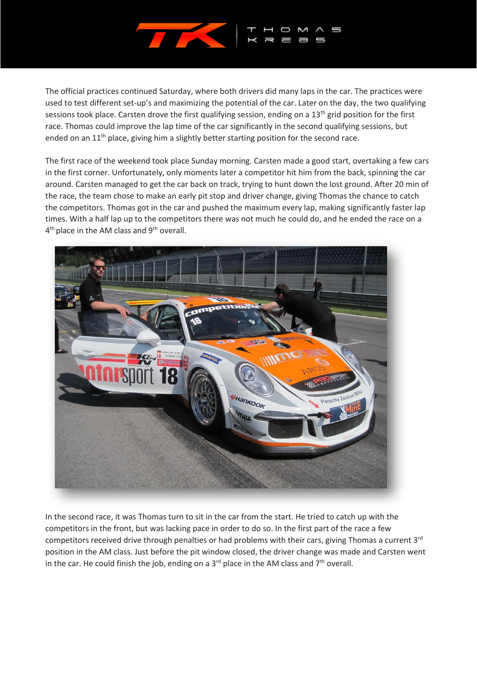

The official practices continued Saturday, where both drivers did many laps in the car. The practices were used to test different set-up's and maximizing the potential of the car. Later on the day, the two qualifying sessions took place. Carsten drove the first qualifying session, ending on a  $13<sup>th</sup>$  grid position for the first race. Thomas could improve the lap time of the car significantly in the second qualifying sessions, but ended on an  $11<sup>th</sup>$  place, giving him a slightly better starting position for the second race.

The first race of the weekend took place Sunday morning. Carsten made a good start, overtaking a few cars in the first corner. Unfortunately, only moments later a competitor hit him from the back, spinning the car around. Carsten managed to get the car back on track, trying to hunt down the lost ground. After 20 min of the race, the team chose to make an early pit stop and driver change, giving Thomas the chance to catch the competitors. Thomas got in the car and pushed the maximum every lap, making significantly faster lap times. With a half lap up to the competitors there was not much he could do, and he ended the race on a 4<sup>th</sup> place in the AM class and 9<sup>th</sup> overall.



In the second race, it was Thomas turn to sit in the car from the start. He tried to catch up with the competitors in the front, but was lacking pace in order to do so. In the first part of the race a few competitors received drive through penalties or had problems with their cars, giving Thomas a current 3<sup>rd</sup> position in the AM class. Just before the pit window closed, the driver change was made and Carsten went in the car. He could finish the job, ending on a  $3^{rd}$  place in the AM class and  $7^{th}$  overall.